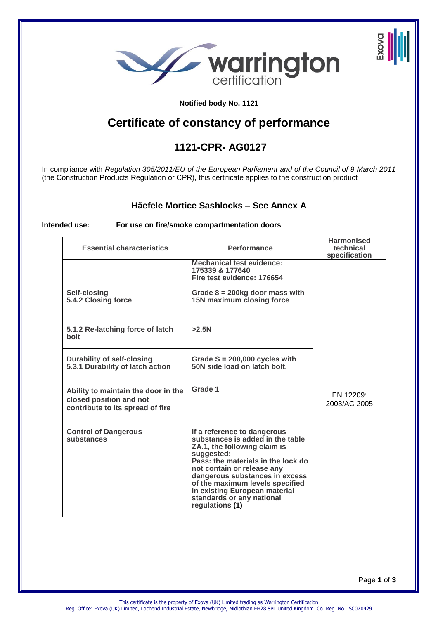

#### **Notified body No. 1121**

# **Certificate of constancy of performance**

## **1121-CPR- AG0127**

In compliance with *Regulation 305/2011/EU of the European Parliament and of the Council of 9 March 2011*  (the Construction Products Regulation or CPR), this certificate applies to the construction product

#### **Häefele Mortice Sashlocks – See Annex A**

#### **Intended use: For use on fire/smoke compartmentation doors**

| <b>Essential characteristics</b>                                                                   | <b>Performance</b>                                                                                                                                                                                                                                                                                                                      | <b>Harmonised</b><br>technical<br>specification |
|----------------------------------------------------------------------------------------------------|-----------------------------------------------------------------------------------------------------------------------------------------------------------------------------------------------------------------------------------------------------------------------------------------------------------------------------------------|-------------------------------------------------|
|                                                                                                    | <b>Mechanical test evidence:</b><br>175339 & 177640<br>Fire test evidence: 176654                                                                                                                                                                                                                                                       |                                                 |
| Self-closing<br>5.4.2 Closing force                                                                | Grade $8 = 200$ kg door mass with<br>15N maximum closing force                                                                                                                                                                                                                                                                          |                                                 |
| 5.1.2 Re-latching force of latch<br><b>bolt</b>                                                    | >2.5N                                                                                                                                                                                                                                                                                                                                   |                                                 |
| <b>Durability of self-closing</b><br>5.3.1 Durability of latch action                              | Grade $S = 200,000$ cycles with<br>50N side load on latch bolt.                                                                                                                                                                                                                                                                         |                                                 |
| Ability to maintain the door in the<br>closed position and not<br>contribute to its spread of fire | Grade 1                                                                                                                                                                                                                                                                                                                                 | EN 12209:<br>2003/AC 2005                       |
| <b>Control of Dangerous</b><br>substances                                                          | If a reference to dangerous<br>substances is added in the table<br>ZA.1, the following claim is<br>suggested:<br>Pass: the materials in the lock do<br>not contain or release any<br>dangerous substances in excess<br>of the maximum levels specified<br>in existing European material<br>standards or any national<br>regulations (1) |                                                 |

Page **1** of **3**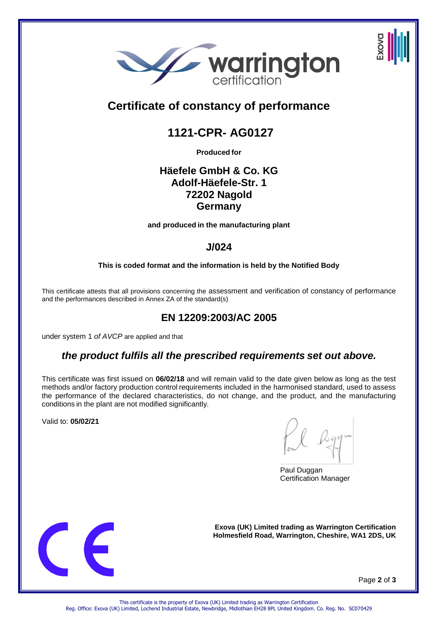



# **1121-CPR- AG0127**

**Produced for**

## **Häefele GmbH & Co. KG Adolf-Häefele-Str. 1 72202 Nagold Germany**

**and produced in the manufacturing plant** 

## **J/024**

**This is coded format and the information is held by the Notified Body** 

This certificate attests that all provisions concerning the assessment and verification of constancy of performance and the performances described in Annex ZA of the standard(s)

# **EN 12209:2003/AC 2005**

under system 1 *of AVCP* are applied and that

## *the product fulfils all the prescribed requirements set out above.*

This certificate was first issued on **06/02/18** and will remain valid to the date given below as long as the test methods and/or factory production control requirements included in the harmonised standard, used to assess the performance of the declared characteristics, do not change, and the product, and the manufacturing conditions in the plant are not modified significantly*.*

Valid to: **05/02/21** 

Paul Duggan Certification Manager



**Exova (UK) Limited trading as Warrington Certification Holmesfield Road, Warrington, Cheshire, WA1 2DS, UK** 

Page **2** of **3**